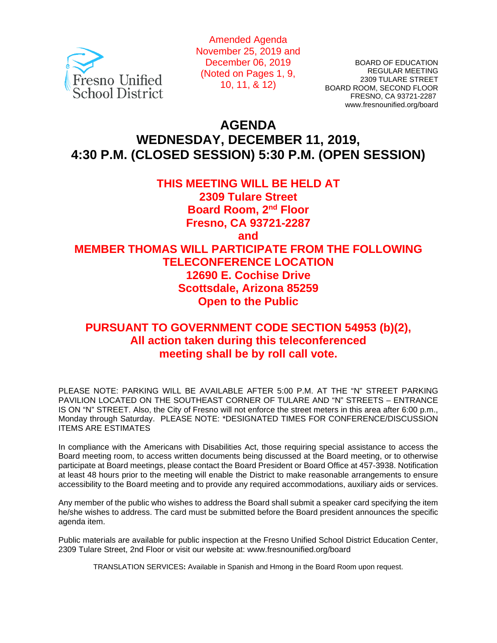

Amended Agenda November 25, 2019 and December 06, 2019 (Noted on Pages 1, 9, 10, 11, & 12)

BOARD OF EDUCATION REGULAR MEETING 2309 TULARE STREET BOARD ROOM, SECOND FLOOR FRESNO, CA 93721-2287 www.fresnounified.org/board

# **AGENDA WEDNESDAY, DECEMBER 11, 2019, 4:30 P.M. (CLOSED SESSION) 5:30 P.M. (OPEN SESSION)**

## **THIS MEETING WILL BE HELD AT**

**2309 Tulare Street Board Room, 2nd Floor Fresno, CA 93721-2287**

**and**

## **MEMBER THOMAS WILL PARTICIPATE FROM THE FOLLOWING TELECONFERENCE LOCATION 12690 E. Cochise Drive Scottsdale, Arizona 85259 Open to the Public**

## **PURSUANT TO GOVERNMENT CODE SECTION 54953 (b)(2), All action taken during this teleconferenced meeting shall be by roll call vote.**

PLEASE NOTE: PARKING WILL BE AVAILABLE AFTER 5:00 P.M. AT THE "N" STREET PARKING PAVILION LOCATED ON THE SOUTHEAST CORNER OF TULARE AND "N" STREETS – ENTRANCE IS ON "N" STREET. Also, the City of Fresno will not enforce the street meters in this area after 6:00 p.m., Monday through Saturday. PLEASE NOTE: \*DESIGNATED TIMES FOR CONFERENCE/DISCUSSION ITEMS ARE ESTIMATES

In compliance with the Americans with Disabilities Act, those requiring special assistance to access the Board meeting room, to access written documents being discussed at the Board meeting, or to otherwise participate at Board meetings, please contact the Board President or Board Office at 457-3938. Notification at least 48 hours prior to the meeting will enable the District to make reasonable arrangements to ensure accessibility to the Board meeting and to provide any required accommodations, auxiliary aids or services.

Any member of the public who wishes to address the Board shall submit a speaker card specifying the item he/she wishes to address. The card must be submitted before the Board president announces the specific agenda item.

Public materials are available for public inspection at the Fresno Unified School District Education Center, 2309 Tulare Street, 2nd Floor or visit our website at: www.fresnounified.org/board

TRANSLATION SERVICES**:** Available in Spanish and Hmong in the Board Room upon request.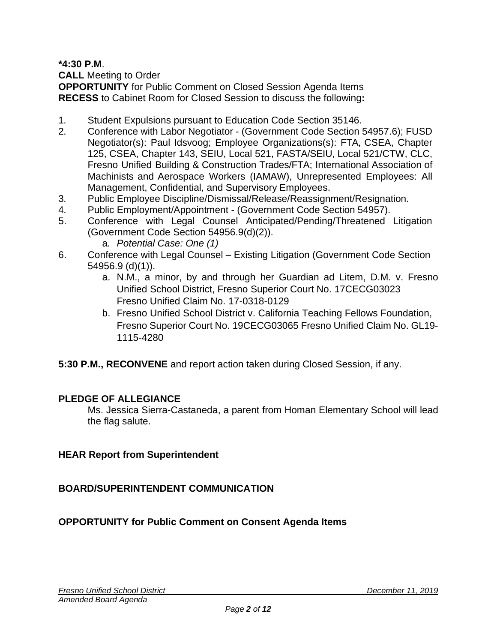**\*4:30 P.M**.

**CALL** Meeting to Order

**OPPORTUNITY** for Public Comment on Closed Session Agenda Items **RECESS** to Cabinet Room for Closed Session to discuss the following**:**

- 1. Student Expulsions pursuant to Education Code Section 35146.
- 2. Conference with Labor Negotiator (Government Code Section 54957.6); FUSD Negotiator(s): Paul Idsvoog; Employee Organizations(s): FTA, CSEA, Chapter 125, CSEA, Chapter 143, SEIU, Local 521, FASTA/SEIU, Local 521/CTW, CLC, Fresno Unified Building & Construction Trades/FTA; International Association of Machinists and Aerospace Workers (IAMAW), Unrepresented Employees: All Management, Confidential, and Supervisory Employees.
- 3. Public Employee Discipline/Dismissal/Release/Reassignment/Resignation.
- 4. Public Employment/Appointment (Government Code Section 54957).
- 5. Conference with Legal Counsel Anticipated/Pending/Threatened Litigation (Government Code Section 54956.9(d)(2)).
	- a. *Potential Case: One (1)*
- 6. Conference with Legal Counsel Existing Litigation (Government Code Section 54956.9 (d)(1)).
	- a. N.M., a minor, by and through her Guardian ad Litem, D.M. v. Fresno Unified School District, Fresno Superior Court No. 17CECG03023 Fresno Unified Claim No. 17-0318-0129
	- b. Fresno Unified School District v. California Teaching Fellows Foundation, Fresno Superior Court No. 19CECG03065 Fresno Unified Claim No. GL19- 1115-4280
- **5:30 P.M., RECONVENE** and report action taken during Closed Session, if any.

## **PLEDGE OF ALLEGIANCE**

Ms. Jessica Sierra-Castaneda, a parent from Homan Elementary School will lead the flag salute.

## **HEAR Report from Superintendent**

**BOARD/SUPERINTENDENT COMMUNICATION**

## **OPPORTUNITY for Public Comment on Consent Agenda Items**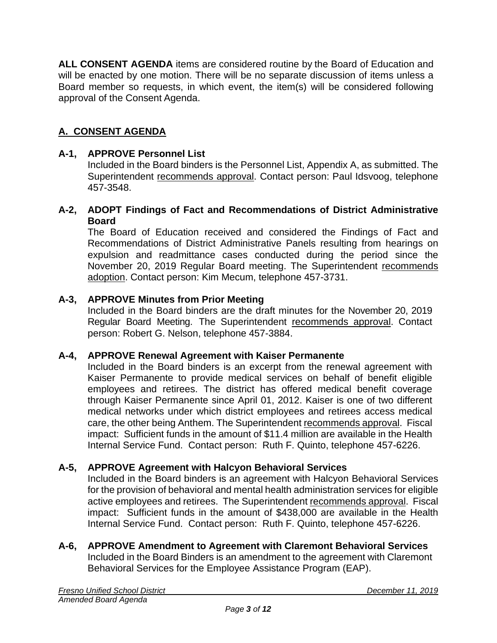**ALL CONSENT AGENDA** items are considered routine by the Board of Education and will be enacted by one motion. There will be no separate discussion of items unless a Board member so requests, in which event, the item(s) will be considered following approval of the Consent Agenda.

## **A. CONSENT AGENDA**

#### **A-1, APPROVE Personnel List**

Included in the Board binders is the Personnel List, Appendix A, as submitted. The Superintendent recommends approval. Contact person: Paul Idsvoog, telephone 457-3548.

#### **A-2, ADOPT Findings of Fact and Recommendations of District Administrative Board**

The Board of Education received and considered the Findings of Fact and Recommendations of District Administrative Panels resulting from hearings on expulsion and readmittance cases conducted during the period since the November 20, 2019 Regular Board meeting. The Superintendent recommends adoption. Contact person: Kim Mecum, telephone 457-3731.

#### **A-3, APPROVE Minutes from Prior Meeting**

Included in the Board binders are the draft minutes for the November 20, 2019 Regular Board Meeting. The Superintendent recommends approval. Contact person: Robert G. Nelson, telephone 457-3884.

#### **A-4, APPROVE Renewal Agreement with Kaiser Permanente**

Included in the Board binders is an excerpt from the renewal agreement with Kaiser Permanente to provide medical services on behalf of benefit eligible employees and retirees. The district has offered medical benefit coverage through Kaiser Permanente since April 01, 2012. Kaiser is one of two different medical networks under which district employees and retirees access medical care, the other being Anthem. The Superintendent recommends approval. Fiscal impact: Sufficient funds in the amount of \$11.4 million are available in the Health Internal Service Fund. Contact person: Ruth F. Quinto, telephone 457-6226.

#### **A-5, APPROVE Agreement with Halcyon Behavioral Services**

Included in the Board binders is an agreement with Halcyon Behavioral Services for the provision of behavioral and mental health administration services for eligible active employees and retirees. The Superintendent recommends approval. Fiscal impact: Sufficient funds in the amount of \$438,000 are available in the Health Internal Service Fund. Contact person: Ruth F. Quinto, telephone 457-6226.

#### **A-6, APPROVE Amendment to Agreement with Claremont Behavioral Services** Included in the Board Binders is an amendment to the agreement with Claremont Behavioral Services for the Employee Assistance Program (EAP).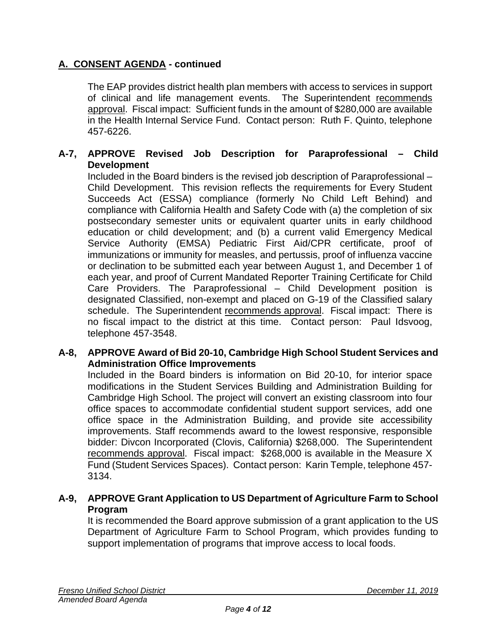The EAP provides district health plan members with access to services in support of clinical and life management events. The Superintendent recommends approval. Fiscal impact: Sufficient funds in the amount of \$280,000 are available in the Health Internal Service Fund. Contact person: Ruth F. Quinto, telephone 457-6226.

## **A-7, APPROVE Revised Job Description for Paraprofessional – Child Development**

Included in the Board binders is the revised job description of Paraprofessional – Child Development. This revision reflects the requirements for Every Student Succeeds Act (ESSA) compliance (formerly No Child Left Behind) and compliance with California Health and Safety Code with (a) the completion of six postsecondary semester units or equivalent quarter units in early childhood education or child development; and (b) a current valid Emergency Medical Service Authority (EMSA) Pediatric First Aid/CPR certificate, proof of immunizations or immunity for measles, and pertussis, proof of influenza vaccine or declination to be submitted each year between August 1, and December 1 of each year, and proof of Current Mandated Reporter Training Certificate for Child Care Providers. The Paraprofessional – Child Development position is designated Classified, non-exempt and placed on G-19 of the Classified salary schedule. The Superintendent recommends approval. Fiscal impact: There is no fiscal impact to the district at this time. Contact person: Paul Idsvoog, telephone 457-3548.

#### **A-8, APPROVE Award of Bid 20-10, Cambridge High School Student Services and Administration Office Improvements**

Included in the Board binders is information on Bid 20-10, for interior space modifications in the Student Services Building and Administration Building for Cambridge High School. The project will convert an existing classroom into four office spaces to accommodate confidential student support services, add one office space in the Administration Building, and provide site accessibility improvements. Staff recommends award to the lowest responsive, responsible bidder: Divcon Incorporated (Clovis, California) \$268,000. The Superintendent recommends approval. Fiscal impact: \$268,000 is available in the Measure X Fund (Student Services Spaces). Contact person: Karin Temple, telephone 457- 3134.

## **A-9, APPROVE Grant Application to US Department of Agriculture Farm to School Program**

It is recommended the Board approve submission of a grant application to the US Department of Agriculture Farm to School Program, which provides funding to support implementation of programs that improve access to local foods.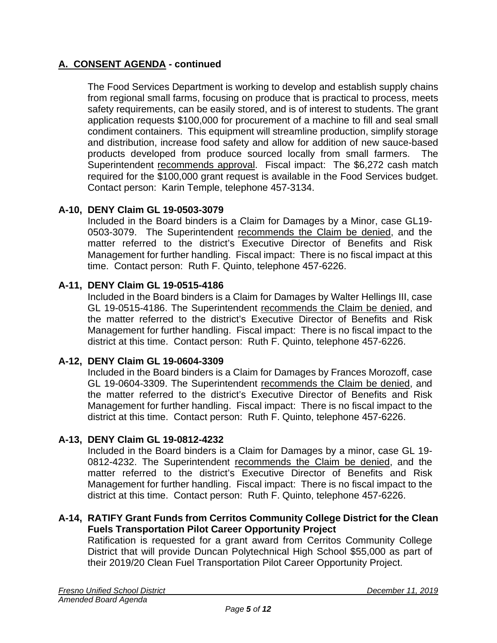The Food Services Department is working to develop and establish supply chains from regional small farms, focusing on produce that is practical to process, meets safety requirements, can be easily stored, and is of interest to students. The grant application requests \$100,000 for procurement of a machine to fill and seal small condiment containers. This equipment will streamline production, simplify storage and distribution, increase food safety and allow for addition of new sauce-based products developed from produce sourced locally from small farmers. The Superintendent recommends approval. Fiscal impact: The \$6,272 cash match required for the \$100,000 grant request is available in the Food Services budget. Contact person: Karin Temple, telephone 457-3134.

## **A-10, DENY Claim GL 19-0503-3079**

Included in the Board binders is a Claim for Damages by a Minor, case GL19- 0503-3079. The Superintendent recommends the Claim be denied, and the matter referred to the district's Executive Director of Benefits and Risk Management for further handling. Fiscal impact: There is no fiscal impact at this time. Contact person: Ruth F. Quinto, telephone 457-6226.

#### **A-11, DENY Claim GL 19-0515-4186**

Included in the Board binders is a Claim for Damages by Walter Hellings III, case GL 19-0515-4186. The Superintendent recommends the Claim be denied, and the matter referred to the district's Executive Director of Benefits and Risk Management for further handling. Fiscal impact: There is no fiscal impact to the district at this time. Contact person: Ruth F. Quinto, telephone 457-6226.

#### **A-12, DENY Claim GL 19-0604-3309**

Included in the Board binders is a Claim for Damages by Frances Morozoff, case GL 19-0604-3309. The Superintendent recommends the Claim be denied, and the matter referred to the district's Executive Director of Benefits and Risk Management for further handling. Fiscal impact: There is no fiscal impact to the district at this time. Contact person: Ruth F. Quinto, telephone 457-6226.

#### **A-13, DENY Claim GL 19-0812-4232**

Included in the Board binders is a Claim for Damages by a minor, case GL 19- 0812-4232. The Superintendent recommends the Claim be denied, and the matter referred to the district's Executive Director of Benefits and Risk Management for further handling. Fiscal impact: There is no fiscal impact to the district at this time. Contact person: Ruth F. Quinto, telephone 457-6226.

#### **A-14, RATIFY Grant Funds from Cerritos Community College District for the Clean Fuels Transportation Pilot Career Opportunity Project**

Ratification is requested for a grant award from Cerritos Community College District that will provide Duncan Polytechnical High School \$55,000 as part of their 2019/20 Clean Fuel Transportation Pilot Career Opportunity Project.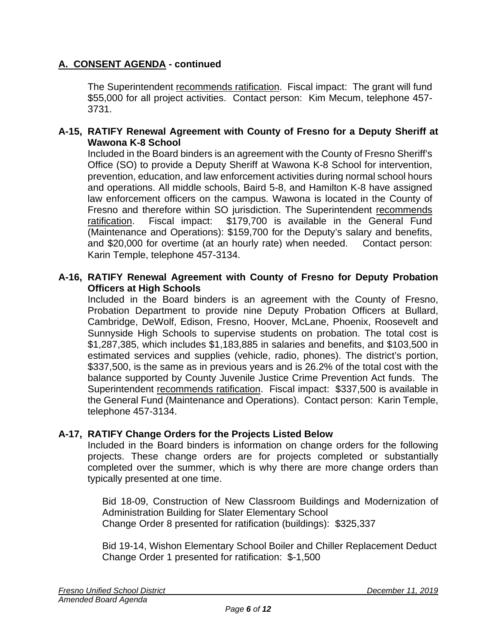The Superintendent recommends ratification. Fiscal impact: The grant will fund \$55,000 for all project activities. Contact person: Kim Mecum, telephone 457- 3731.

#### **A-15, RATIFY Renewal Agreement with County of Fresno for a Deputy Sheriff at Wawona K-8 School**

Included in the Board binders is an agreement with the County of Fresno Sheriff's Office (SO) to provide a Deputy Sheriff at Wawona K-8 School for intervention, prevention, education, and law enforcement activities during normal school hours and operations. All middle schools, Baird 5-8, and Hamilton K-8 have assigned law enforcement officers on the campus. Wawona is located in the County of Fresno and therefore within SO jurisdiction. The Superintendent recommends ratification. Fiscal impact: \$179,700 is available in the General Fund (Maintenance and Operations): \$159,700 for the Deputy's salary and benefits, and \$20,000 for overtime (at an hourly rate) when needed. Contact person: Karin Temple, telephone 457-3134.

#### **A-16, RATIFY Renewal Agreement with County of Fresno for Deputy Probation Officers at High Schools**

Included in the Board binders is an agreement with the County of Fresno, Probation Department to provide nine Deputy Probation Officers at Bullard, Cambridge, DeWolf, Edison, Fresno, Hoover, McLane, Phoenix, Roosevelt and Sunnyside High Schools to supervise students on probation. The total cost is \$1,287,385, which includes \$1,183,885 in salaries and benefits, and \$103,500 in estimated services and supplies (vehicle, radio, phones). The district's portion, \$337,500, is the same as in previous years and is 26.2% of the total cost with the balance supported by County Juvenile Justice Crime Prevention Act funds. The Superintendent recommends ratification. Fiscal impact: \$337,500 is available in the General Fund (Maintenance and Operations). Contact person: Karin Temple, telephone 457-3134.

#### **A-17, RATIFY Change Orders for the Projects Listed Below**

Included in the Board binders is information on change orders for the following projects. These change orders are for projects completed or substantially completed over the summer, which is why there are more change orders than typically presented at one time.

Bid 18-09, Construction of New Classroom Buildings and Modernization of Administration Building for Slater Elementary School Change Order 8 presented for ratification (buildings): \$325,337

Bid 19-14, Wishon Elementary School Boiler and Chiller Replacement Deduct Change Order 1 presented for ratification: \$-1,500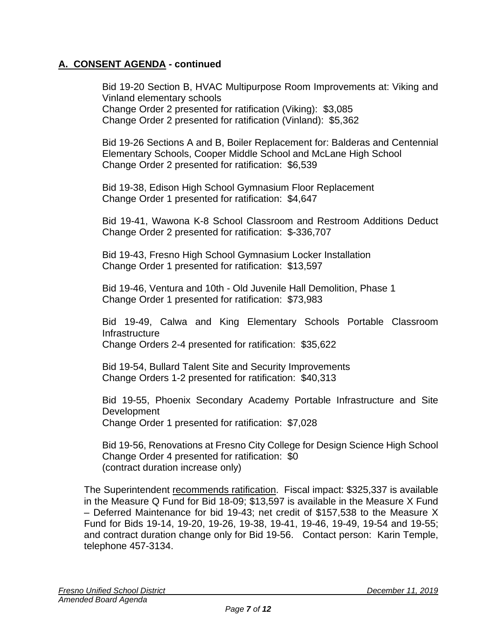Bid 19-20 Section B, HVAC Multipurpose Room Improvements at: Viking and Vinland elementary schools Change Order 2 presented for ratification (Viking): \$3,085 Change Order 2 presented for ratification (Vinland): \$5,362

Bid 19-26 Sections A and B, Boiler Replacement for: Balderas and Centennial Elementary Schools, Cooper Middle School and McLane High School Change Order 2 presented for ratification: \$6,539

Bid 19-38, Edison High School Gymnasium Floor Replacement Change Order 1 presented for ratification: \$4,647

Bid 19-41, Wawona K-8 School Classroom and Restroom Additions Deduct Change Order 2 presented for ratification: \$-336,707

Bid 19-43, Fresno High School Gymnasium Locker Installation Change Order 1 presented for ratification: \$13,597

Bid 19-46, Ventura and 10th - Old Juvenile Hall Demolition, Phase 1 Change Order 1 presented for ratification: \$73,983

Bid 19-49, Calwa and King Elementary Schools Portable Classroom Infrastructure Change Orders 2-4 presented for ratification: \$35,622

Bid 19-54, Bullard Talent Site and Security Improvements Change Orders 1-2 presented for ratification: \$40,313

Bid 19-55, Phoenix Secondary Academy Portable Infrastructure and Site Development Change Order 1 presented for ratification: \$7,028

Bid 19-56, Renovations at Fresno City College for Design Science High School Change Order 4 presented for ratification: \$0 (contract duration increase only)

The Superintendent recommends ratification. Fiscal impact: \$325,337 is available in the Measure Q Fund for Bid 18-09; \$13,597 is available in the Measure X Fund – Deferred Maintenance for bid 19-43; net credit of \$157,538 to the Measure X Fund for Bids 19-14, 19-20, 19-26, 19-38, 19-41, 19-46, 19-49, 19-54 and 19-55; and contract duration change only for Bid 19-56. Contact person: Karin Temple, telephone 457-3134.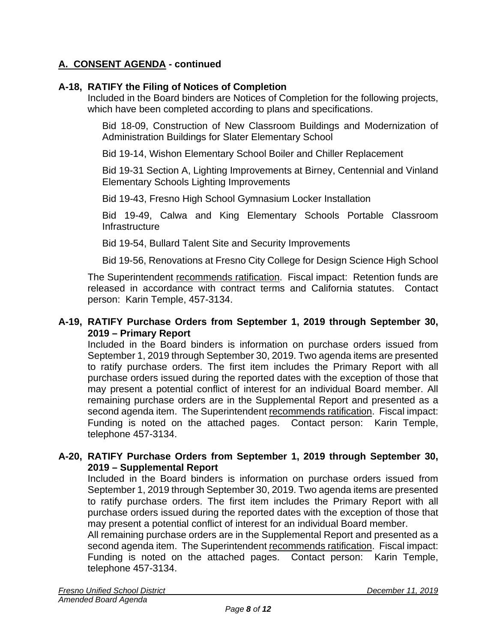## **A-18, RATIFY the Filing of Notices of Completion**

Included in the Board binders are Notices of Completion for the following projects, which have been completed according to plans and specifications.

Bid 18-09, Construction of New Classroom Buildings and Modernization of Administration Buildings for Slater Elementary School

Bid 19-14, Wishon Elementary School Boiler and Chiller Replacement

Bid 19-31 Section A, Lighting Improvements at Birney, Centennial and Vinland Elementary Schools Lighting Improvements

Bid 19-43, Fresno High School Gymnasium Locker Installation

Bid 19-49, Calwa and King Elementary Schools Portable Classroom **Infrastructure** 

Bid 19-54, Bullard Talent Site and Security Improvements

Bid 19-56, Renovations at Fresno City College for Design Science High School

The Superintendent recommends ratification. Fiscal impact: Retention funds are released in accordance with contract terms and California statutes. Contact person: Karin Temple, 457-3134.

#### **A-19, RATIFY Purchase Orders from September 1, 2019 through September 30, 2019 – Primary Report**

Included in the Board binders is information on purchase orders issued from September 1, 2019 through September 30, 2019. Two agenda items are presented to ratify purchase orders. The first item includes the Primary Report with all purchase orders issued during the reported dates with the exception of those that may present a potential conflict of interest for an individual Board member. All remaining purchase orders are in the Supplemental Report and presented as a second agenda item. The Superintendent recommends ratification. Fiscal impact: Funding is noted on the attached pages. Contact person: Karin Temple, telephone 457-3134.

#### **A-20, RATIFY Purchase Orders from September 1, 2019 through September 30, 2019 – Supplemental Report**

Included in the Board binders is information on purchase orders issued from September 1, 2019 through September 30, 2019. Two agenda items are presented to ratify purchase orders. The first item includes the Primary Report with all purchase orders issued during the reported dates with the exception of those that may present a potential conflict of interest for an individual Board member.

All remaining purchase orders are in the Supplemental Report and presented as a second agenda item. The Superintendent recommends ratification. Fiscal impact: Funding is noted on the attached pages. Contact person: Karin Temple, telephone 457-3134.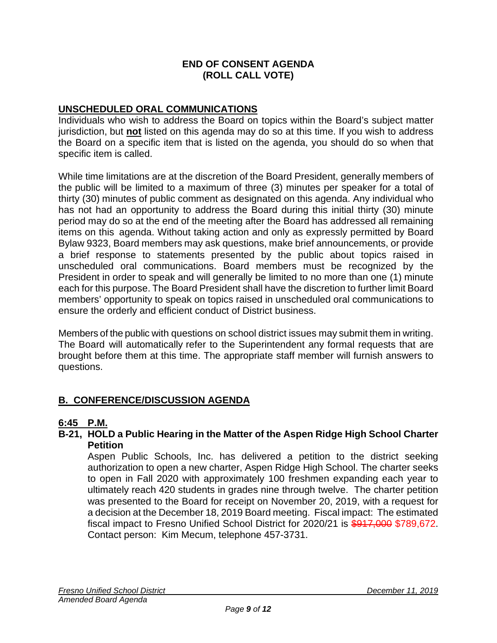#### **END OF CONSENT AGENDA (ROLL CALL VOTE)**

## **UNSCHEDULED ORAL COMMUNICATIONS**

Individuals who wish to address the Board on topics within the Board's subject matter jurisdiction, but **not** listed on this agenda may do so at this time. If you wish to address the Board on a specific item that is listed on the agenda, you should do so when that specific item is called.

While time limitations are at the discretion of the Board President, generally members of the public will be limited to a maximum of three (3) minutes per speaker for a total of thirty (30) minutes of public comment as designated on this agenda. Any individual who has not had an opportunity to address the Board during this initial thirty (30) minute period may do so at the end of the meeting after the Board has addressed all remaining items on this agenda. Without taking action and only as expressly permitted by Board Bylaw 9323, Board members may ask questions, make brief announcements, or provide a brief response to statements presented by the public about topics raised in unscheduled oral communications. Board members must be recognized by the President in order to speak and will generally be limited to no more than one (1) minute each for this purpose. The Board President shall have the discretion to further limit Board members' opportunity to speak on topics raised in unscheduled oral communications to ensure the orderly and efficient conduct of District business.

Members of the public with questions on school district issues may submit them in writing. The Board will automatically refer to the Superintendent any formal requests that are brought before them at this time. The appropriate staff member will furnish answers to questions.

## **B. CONFERENCE/DISCUSSION AGENDA**

#### **6:45 P.M.**

#### **B-21, HOLD a Public Hearing in the Matter of the Aspen Ridge High School Charter Petition**

Aspen Public Schools, Inc. has delivered a petition to the district seeking authorization to open a new charter, Aspen Ridge High School. The charter seeks to open in Fall 2020 with approximately 100 freshmen expanding each year to ultimately reach 420 students in grades nine through twelve. The charter petition was presented to the Board for receipt on November 20, 2019, with a request for a decision at the December 18, 2019 Board meeting. Fiscal impact: The estimated fiscal impact to Fresno Unified School District for 2020/21 is \$917,000 \$789,672. Contact person: Kim Mecum, telephone 457-3731.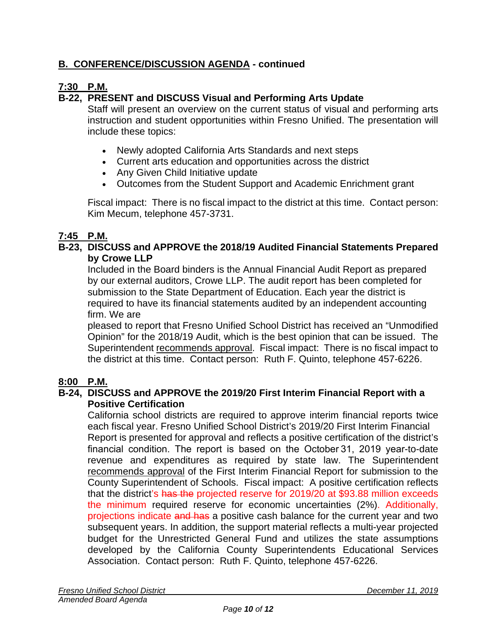## **B. CONFERENCE/DISCUSSION AGENDA - continued**

## **7:30 P.M.**

## **B-22, PRESENT and DISCUSS Visual and Performing Arts Update**

Staff will present an overview on the current status of visual and performing arts instruction and student opportunities within Fresno Unified. The presentation will include these topics:

- Newly adopted California Arts Standards and next steps
- Current arts education and opportunities across the district
- Any Given Child Initiative update
- Outcomes from the Student Support and Academic Enrichment grant

Fiscal impact: There is no fiscal impact to the district at this time. Contact person: Kim Mecum, telephone 457-3731.

## **7:45 P.M.**

#### **B-23, DISCUSS and APPROVE the 2018/19 Audited Financial Statements Prepared by Crowe LLP**

Included in the Board binders is the Annual Financial Audit Report as prepared by our external auditors, Crowe LLP. The audit report has been completed for submission to the State Department of Education. Each year the district is required to have its financial statements audited by an independent accounting firm. We are

pleased to report that Fresno Unified School District has received an "Unmodified Opinion" for the 2018/19 Audit, which is the best opinion that can be issued. The Superintendent recommends approval. Fiscal impact: There is no fiscal impact to the district at this time. Contact person: Ruth F. Quinto, telephone 457-6226.

## **8:00 P.M.**

#### **B-24, DISCUSS and APPROVE the 2019/20 First Interim Financial Report with a Positive Certification**

California school districts are required to approve interim financial reports twice each fiscal year. Fresno Unified School District's 2019/20 First Interim Financial Report is presented for approval and reflects a positive certification of the district's financial condition. The report is based on the October 31, 2019 year-to-date revenue and expenditures as required by state law. The Superintendent recommends approval of the First Interim Financial Report for submission to the County Superintendent of Schools. Fiscal impact: A positive certification reflects that the district's has the projected reserve for 2019/20 at \$93.88 million exceeds the minimum required reserve for economic uncertainties (2%). Additionally, projections indicate and has a positive cash balance for the current year and two subsequent years. In addition, the support material reflects a multi-year projected budget for the Unrestricted General Fund and utilizes the state assumptions developed by the California County Superintendents Educational Services Association. Contact person: Ruth F. Quinto, telephone 457-6226.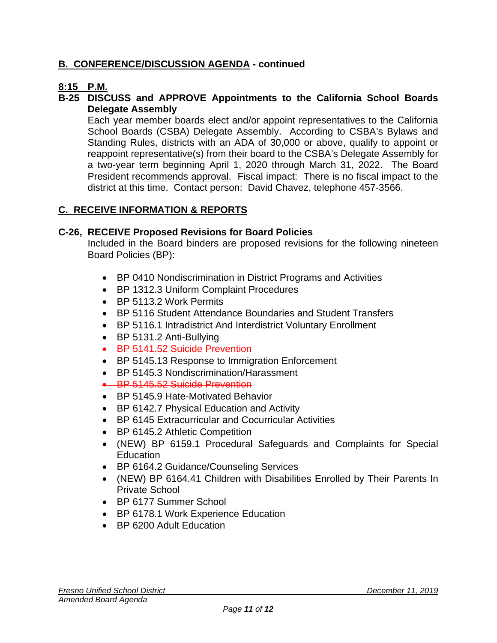## **B. CONFERENCE/DISCUSSION AGENDA - continued**

## **8:15 P.M.**

#### **B-25 DISCUSS and APPROVE Appointments to the California School Boards Delegate Assembly**

Each year member boards elect and/or appoint representatives to the California School Boards (CSBA) Delegate Assembly. According to CSBA's Bylaws and Standing Rules, districts with an ADA of 30,000 or above, qualify to appoint or reappoint representative(s) from their board to the CSBA's Delegate Assembly for a two-year term beginning April 1, 2020 through March 31, 2022. The Board President recommends approval. Fiscal impact: There is no fiscal impact to the district at this time. Contact person: David Chavez, telephone 457-3566.

## **C. RECEIVE INFORMATION & REPORTS**

#### **C-26, RECEIVE Proposed Revisions for Board Policies**

Included in the Board binders are proposed revisions for the following nineteen Board Policies (BP):

- BP 0410 Nondiscrimination in District Programs and Activities
- BP 1312.3 Uniform Complaint Procedures
- BP 5113.2 Work Permits
- BP 5116 Student Attendance Boundaries and Student Transfers
- BP 5116.1 Intradistrict And Interdistrict Voluntary Enrollment
- BP 5131.2 Anti-Bullying
- BP 5141.52 Suicide Prevention
- BP 5145.13 Response to Immigration Enforcement
- BP 5145.3 Nondiscrimination/Harassment
- BP 5145.52 Suicide Prevention
- BP 5145.9 Hate-Motivated Behavior
- BP 6142.7 Physical Education and Activity
- BP 6145 Extracurricular and Cocurricular Activities
- BP 6145.2 Athletic Competition
- (NEW) BP 6159.1 Procedural Safeguards and Complaints for Special **Education**
- BP 6164.2 Guidance/Counseling Services
- (NEW) BP 6164.41 Children with Disabilities Enrolled by Their Parents In Private School
- BP 6177 Summer School
- BP 6178.1 Work Experience Education
- BP 6200 Adult Education